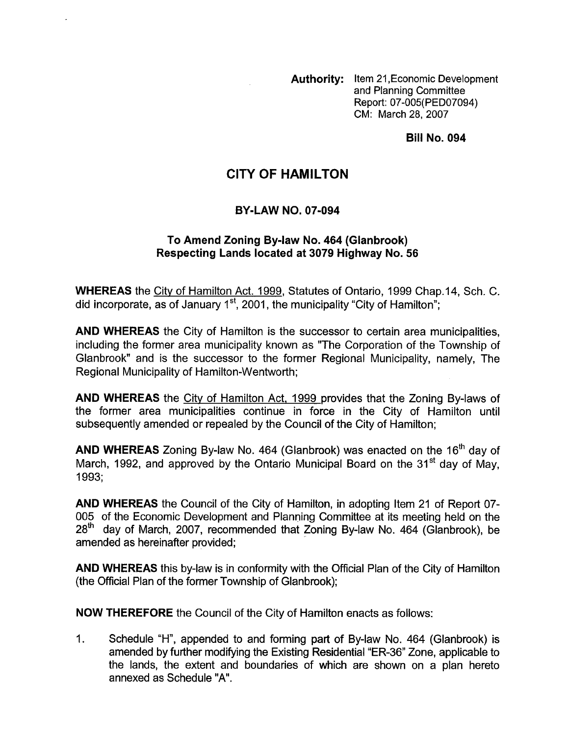**Authority:** Item 21 ,Economic Development and Planning Committee Report: 07-005( PED07094) CM: March 28, 2007

**Bill No. 094** 

## **CITY OF HAMILTON**

## **BY-LAW NO. 07-094**

## **To Amend Zoning Bylaw No. 464 (Glanbrook) Respecting Lands located at 3079 Highway No. 56**

**WHEREAS** the City of Hamilton Act. 1999, Statutes of Ontario, 1999 Chap.14, Sch. C. did incorporate, as of January  $1<sup>st</sup>$ , 2001, the municipality "City of Hamilton";

**AND WHEREAS** the City of Hamilton is the successor to certain area municipalities, including the former area municipality known as "The Corporation of the Township of Glanbrook" and is the successor to the former Regional Municipality, namely, The Regional Municipality of Hamilton-Wentworth;

**AND WHEREAS** the City of Hamilton Act, 1999 provides that the Zoning By-laws of the former area municipalities continue in force in the City of Hamilton until subsequently amended or repealed by the Council of the City of Hamilton;

**AND WHEREAS** Zoning By-law No. 464 (Glanbrook) was enacted on the 16'h day of March, 1992, and approved by the Ontario Municipal Board on the  $31<sup>st</sup>$  day of May. 1993;

**AND WHEREAS** the Council of the City of Hamilton, in adopting Item 21 of Report 07- 005 of the Economic Development and Planning Committee at its meeting held on the  $28<sup>th</sup>$  day of March, 2007, recommended that Zoning By-law No. 464 (Glanbrook), be amended as hereinafter provided;

**AND WHEREAS** this by-law is in conformity with the Official Plan of the City of Hamilton (the Official Plan of the former Township of Glanbrook);

**NOW THEREFORE** the Council of the City of Hamilton enacts as follows:

1. Schedule "H", appended to and forming part of By-law No. 464 (Glanbrook) is amended by further modifying the Existing Residential "ER-36" Zone, applicable to the lands, the extent and boundaries of which are shown on a plan hereto annexed as Schedule "A".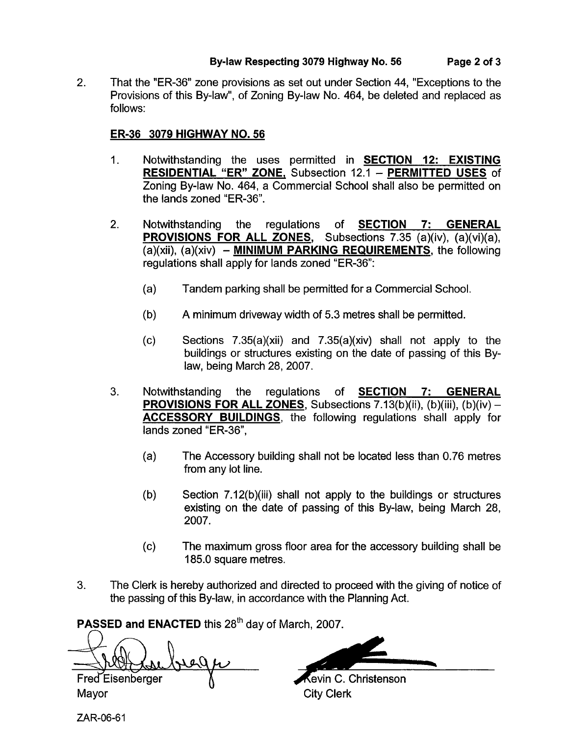That the "ER-36" zone provisions as set out under Section 44, "Exceptions to the Provisions of this By-law", of Zoning By-law No. 464, be deleted and replaced as follows: 2.

## **ER-36 3079 HIGHWAY NO. 56**

- 1. Notwithstanding the uses permitted in **SECTION 12: EXISTING RESIDENTIAL "ER" ZONE,** Subsection 12.1 - **PERMITTED USES** of Zoning By-law No. 464, a Commercial School shall also be permitted on the lands zoned "ER-36".
- 2. Notwithstanding the regulations of **SECTION 7: GENERAL PROVISIONS FOR ALL ZONES,** Subsections 7.35 (a)(iv), (a)(vi)(a), (a)(xii), (a)(xiv) - **MINIMUM PARKING REQUIREMENTS,** the following regulations shall apply for lands zoned "ER-36":
	- (a) Tandem parking shall be permitted for a Commercial School.
	- (b) A minimum driveway width of 5.3 metres shall be permitted.
	- $\text{(c)}$  Sections 7.35(a)(xii) and 7.35(a)(xiv) shall not apply to the buildings or structures existing on the date of passing of this Bylaw, being March 28, 2007.
- 3. Notwithstanding the regulations of **SECTION 7: GENERAL PROVISIONS FOR ALL ZONES, Subsections 7.13(b)(ii), (b)(iii), (b)(iv) -ACCESSORY BUILDINGS,** the following regulations shall apply for lands zoned "ER-36",
	- (a) The Accessory building shall not be located less than 0.76 metres from any lot line.
	- (b) Section 7.12(b)(iii) shall not apply to the buildings or structures existing on the date of passing of this By-law, being March 28, 2007.
	- (c) The maximum gross floor area for the accessory building shall be 185.0 square metres.
- 3. The Clerk is hereby authorized and directed to proceed with the giving of notice of the passing of this By-law, in accordance with the Planning Act.

**PASSED and <b>ENACTED** this 28<sup>th</sup> day of March, 2007.

Fred Eisenberger Mayor City Clerk

tevin C. Christenson

ZAR-06-6 1